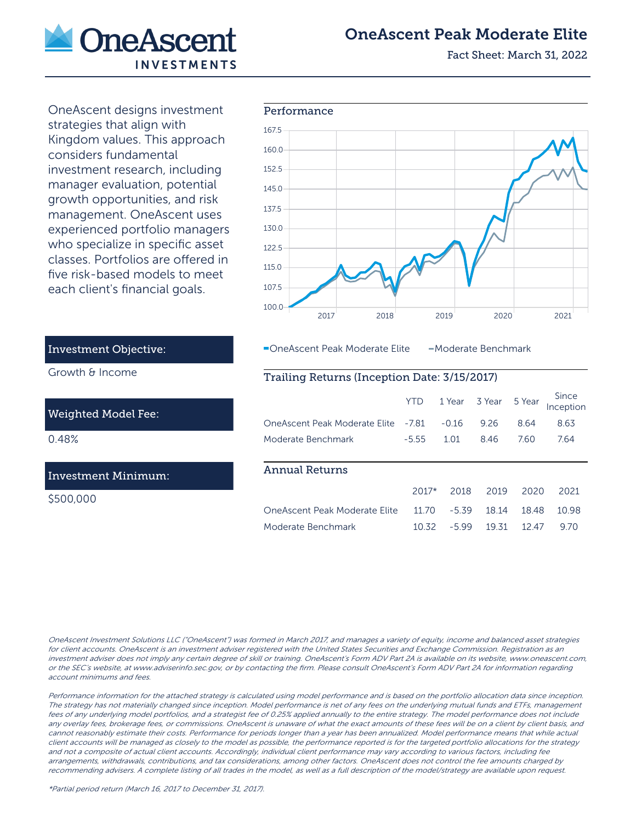

# OneAscent Peak Moderate Elite

Fact Sheet: March 31, 2022

OneAscent designs investment strategies that align with Kingdom values. This approach considers fundamental investment research, including manager evaluation, potential growth opportunities, and risk management. OneAscent uses experienced portfolio managers who specialize in specific asset classes. Portfolios are offered in five risk-based models to meet each client's financial goals.



-OneAscent Peak Moderate Elite - Moderate Benchmark

# Trailing Returns (Inception Date: 3/15/2017)

|                               | YTD     |         | 1 Year 3 Year 5 Year |       | Since<br>Inception |
|-------------------------------|---------|---------|----------------------|-------|--------------------|
| OneAscent Peak Moderate Elite | $-7.81$ | $-0.16$ | 9.26                 | 8.64  | 8.63               |
| Moderate Benchmark            | $-5.55$ | 1.01    | 846                  | 7.60  | 764                |
|                               |         |         |                      |       |                    |
| <b>Annual Returns</b>         |         |         |                      |       |                    |
|                               | $2017*$ | 2018    | 2019                 | 2020  | 2021               |
| OneAscent Peak Moderate Elite | 1170    | $-5.39$ | 18 14                | 18.48 | 10.98              |
| Moderate Benchmark            | 10.32   | $-599$  | 19 31                | 12 47 | 970                |

Investment Objective:

Growth & Income

## Weighted Model Fee:

0.48%

## Investment Minimum:

\$500,000

OneAscent Investment Solutions LLC ("OneAscent") was formed in March 2017, and manages a variety of equity, income and balanced asset strategies for client accounts. OneAscent is an investment adviser registered with the United States Securities and Exchange Commission. Registration as an investment adviser does not imply any certain degree of skill or training. OneAscent's Form ADV Part 2A is available on its website, www.oneascent.com, or the SEC's website, at www.adviserinfo.sec.gov, or by contacting the firm. Please consult OneAscent's Form ADV Part 2A for information regarding account minimums and fees.

Performance information for the attached strategy is calculated using model performance and is based on the portfolio allocation data since inception. The strategy has not materially changed since inception. Model performance is net of any fees on the underlying mutual funds and ETFs, management fees of any underlying model portfolios, and a strategist fee of 0.25% applied annually to the entire strategy. The model performance does not include any overlay fees, brokerage fees, or commissions. OneAscent is unaware of what the exact amounts of these fees will be on a client by client basis, and cannot reasonably estimate their costs. Performance for periods longer than a year has been annualized. Model performance means that while actual client accounts will be managed as closely to the model as possible, the performance reported is for the targeted portfolio allocations for the strategy and not a composite of actual client accounts. Accordingly, individual client performance may vary according to various factors, including fee arrangements, withdrawals, contributions, and tax considerations, among other factors. OneAscent does not control the fee amounts charged by recommending advisers. A complete listing of all trades in the model, as well as a full description of the model/strategy are available upon request.